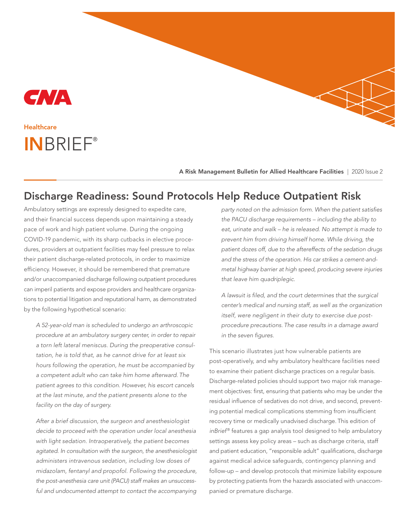

# INBRIEF® **Healthcare**

A Risk Management Bulletin for Allied Healthcare Facilities | 2020 Issue 2

## Discharge Readiness: Sound Protocols Help Reduce Outpatient Risk

Ambulatory settings are expressly designed to expedite care, and their financial success depends upon maintaining a steady pace of work and high patient volume. During the ongoing COVID-19 pandemic, with its sharp cutbacks in elective procedures, providers at outpatient facilities may feel pressure to relax their patient discharge-related protocols, in order to maximize efficiency. However, it should be remembered that premature and/or unaccompanied discharge following outpatient procedures can imperil patients and expose providers and healthcare organizations to potential litigation and reputational harm, as demonstrated by the following hypothetical scenario:

A 52-year-old man is scheduled to undergo an arthroscopic procedure at an ambulatory surgery center, in order to repair a torn left lateral meniscus. During the preoperative consultation, he is told that, as he cannot drive for at least six hours following the operation, he must be accompanied by a competent adult who can take him home afterward. The patient agrees to this condition. However, his escort cancels at the last minute, and the patient presents alone to the facility on the day of surgery.

After a brief discussion, the surgeon and anesthesiologist decide to proceed with the operation under local anesthesia with light sedation. Intraoperatively, the patient becomes agitated. In consultation with the surgeon, the anesthesiologist administers intravenous sedation, including low doses of midazolam, fentanyl and propofol. Following the procedure, the post-anesthesia care unit (PACU) staff makes an unsuccessful and undocumented attempt to contact the accompanying

party noted on the admission form. When the patient satisfies the PACU discharge requirements – including the ability to eat, urinate and walk – he is released. No attempt is made to prevent him from driving himself home. While driving, the patient dozes off, due to the aftereffects of the sedation drugs and the stress of the operation. His car strikes a cement-andmetal highway barrier at high speed, producing severe injuries that leave him quadriplegic.

A lawsuit is filed, and the court determines that the surgical center's medical and nursing staff, as well as the organization itself, were negligent in their duty to exercise due postprocedure precautions. The case results in a damage award in the seven figures.

This scenario illustrates just how vulnerable patients are post-operatively, and why ambulatory healthcare facilities need to examine their patient discharge practices on a regular basis. Discharge-related policies should support two major risk management objectives: first, ensuring that patients who may be under the residual influence of sedatives do not drive, and second, preventing potential medical complications stemming from insufficient recovery time or medically unadvised discharge. This edition of inBrief<sup>®</sup> features a gap analysis tool designed to help ambulatory settings assess key policy areas – such as discharge criteria, staff and patient education, "responsible adult" qualifications, discharge against medical advice safeguards, contingency planning and follow-up – and develop protocols that minimize liability exposure by protecting patients from the hazards associated with unaccompanied or premature discharge.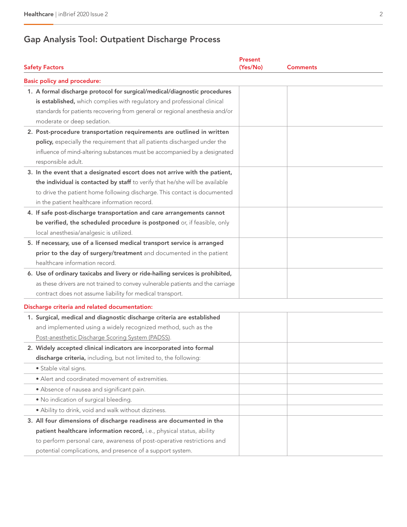## Gap Analysis Tool: Outpatient Discharge Process

| <b>Safety Factors</b>                                                                                                                                                                                                                                                                                                                                             | Present<br>(Yes/No) | <b>Comments</b> |  |
|-------------------------------------------------------------------------------------------------------------------------------------------------------------------------------------------------------------------------------------------------------------------------------------------------------------------------------------------------------------------|---------------------|-----------------|--|
| <b>Basic policy and procedure:</b>                                                                                                                                                                                                                                                                                                                                |                     |                 |  |
| 1. A formal discharge protocol for surgical/medical/diagnostic procedures<br>is established, which complies with regulatory and professional clinical<br>standards for patients recovering from general or regional anesthesia and/or<br>moderate or deep sedation.                                                                                               |                     |                 |  |
| 2. Post-procedure transportation requirements are outlined in written<br>policy, especially the requirement that all patients discharged under the<br>influence of mind-altering substances must be accompanied by a designated<br>responsible adult.                                                                                                             |                     |                 |  |
| 3. In the event that a designated escort does not arrive with the patient,<br>the individual is contacted by staff to verify that he/she will be available<br>to drive the patient home following discharge. This contact is documented<br>in the patient healthcare information record.<br>4. If safe post-discharge transportation and care arrangements cannot |                     |                 |  |
| be verified, the scheduled procedure is postponed or, if feasible, only<br>local anesthesia/analgesic is utilized.                                                                                                                                                                                                                                                |                     |                 |  |
| 5. If necessary, use of a licensed medical transport service is arranged<br>prior to the day of surgery/treatment and documented in the patient<br>healthcare information record.                                                                                                                                                                                 |                     |                 |  |
| 6. Use of ordinary taxicabs and livery or ride-hailing services is prohibited,<br>as these drivers are not trained to convey vulnerable patients and the carriage<br>contract does not assume liability for medical transport.                                                                                                                                    |                     |                 |  |
| Discharge criteria and related documentation:                                                                                                                                                                                                                                                                                                                     |                     |                 |  |
| 1. Surgical, medical and diagnostic discharge criteria are established<br>and implemented using a widely recognized method, such as the<br>Post-anesthetic Discharge Scoring System (PADSS).                                                                                                                                                                      |                     |                 |  |
| 2. Widely accepted clinical indicators are incorporated into formal<br>discharge criteria, including, but not limited to, the following:                                                                                                                                                                                                                          |                     |                 |  |
| · Stable vital signs.                                                                                                                                                                                                                                                                                                                                             |                     |                 |  |
| • Alert and coordinated movement of extremities.<br>• Absence of nausea and significant pain.                                                                                                                                                                                                                                                                     |                     |                 |  |
| . No indication of surgical bleeding.                                                                                                                                                                                                                                                                                                                             |                     |                 |  |
| . Ability to drink, void and walk without dizziness.                                                                                                                                                                                                                                                                                                              |                     |                 |  |
| 3. All four dimensions of discharge readiness are documented in the<br>patient healthcare information record, i.e., physical status, ability                                                                                                                                                                                                                      |                     |                 |  |
| to perform personal care, awareness of post-operative restrictions and<br>potential complications, and presence of a support system.                                                                                                                                                                                                                              |                     |                 |  |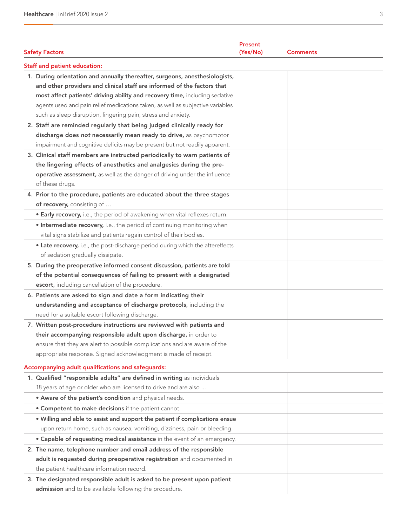| <b>Safety Factors</b>                                                                                              | Present<br>(Yes/No)<br><b>Comments</b> |  |
|--------------------------------------------------------------------------------------------------------------------|----------------------------------------|--|
|                                                                                                                    |                                        |  |
| <b>Staff and patient education:</b><br>1. During orientation and annually thereafter, surgeons, anesthesiologists, |                                        |  |
| and other providers and clinical staff are informed of the factors that                                            |                                        |  |
| most affect patients' driving ability and recovery time, including sedative                                        |                                        |  |
| agents used and pain relief medications taken, as well as subjective variables                                     |                                        |  |
| such as sleep disruption, lingering pain, stress and anxiety.                                                      |                                        |  |
| 2. Staff are reminded regularly that being judged clinically ready for                                             |                                        |  |
| discharge does not necessarily mean ready to drive, as psychomotor                                                 |                                        |  |
| impairment and cognitive deficits may be present but not readily apparent.                                         |                                        |  |
| 3. Clinical staff members are instructed periodically to warn patients of                                          |                                        |  |
| the lingering effects of anesthetics and analgesics during the pre-                                                |                                        |  |
| operative assessment, as well as the danger of driving under the influence                                         |                                        |  |
| of these drugs.                                                                                                    |                                        |  |
| 4. Prior to the procedure, patients are educated about the three stages                                            |                                        |  |
| of recovery, consisting of                                                                                         |                                        |  |
| • Early recovery, i.e., the period of awakening when vital reflexes return.                                        |                                        |  |
| • Intermediate recovery, i.e., the period of continuing monitoring when                                            |                                        |  |
| vital signs stabilize and patients regain control of their bodies.                                                 |                                        |  |
| • Late recovery, i.e., the post-discharge period during which the aftereffects                                     |                                        |  |
| of sedation gradually dissipate.                                                                                   |                                        |  |
| 5. During the preoperative informed consent discussion, patients are told                                          |                                        |  |
| of the potential consequences of failing to present with a designated                                              |                                        |  |
| escort, including cancellation of the procedure.                                                                   |                                        |  |
| 6. Patients are asked to sign and date a form indicating their                                                     |                                        |  |
| understanding and acceptance of discharge protocols, including the                                                 |                                        |  |
| need for a suitable escort following discharge.                                                                    |                                        |  |
| 7. Written post-procedure instructions are reviewed with patients and                                              |                                        |  |
| their accompanying responsible adult upon discharge, in order to                                                   |                                        |  |
| ensure that they are alert to possible complications and are aware of the                                          |                                        |  |
| appropriate response. Signed acknowledgment is made of receipt.                                                    |                                        |  |
| Accompanying adult qualifications and safeguards:                                                                  |                                        |  |
| 1. Qualified "responsible adults" are defined in writing as individuals                                            |                                        |  |
| 18 years of age or older who are licensed to drive and are also                                                    |                                        |  |
| . Aware of the patient's condition and physical needs.                                                             |                                        |  |
| . Competent to make decisions if the patient cannot.                                                               |                                        |  |
| . Willing and able to assist and support the patient if complications ensue                                        |                                        |  |
| upon return home, such as nausea, vomiting, dizziness, pain or bleeding.                                           |                                        |  |
| • Capable of requesting medical assistance in the event of an emergency.                                           |                                        |  |
| 2. The name, telephone number and email address of the responsible                                                 |                                        |  |
| adult is requested during preoperative registration and documented in                                              |                                        |  |
| the patient healthcare information record.                                                                         |                                        |  |
| 3. The designated responsible adult is asked to be present upon patient                                            |                                        |  |
| admission and to be available following the procedure.                                                             |                                        |  |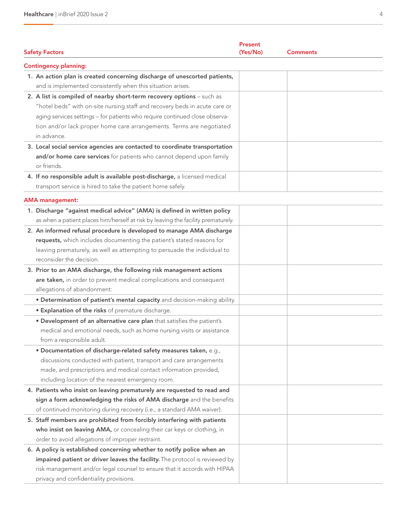| <b>Safety Factors</b>                                                                                                                                                                                                                                                                                                     | Present<br>(Yes/No) | Comments |
|---------------------------------------------------------------------------------------------------------------------------------------------------------------------------------------------------------------------------------------------------------------------------------------------------------------------------|---------------------|----------|
| <b>Contingency planning:</b>                                                                                                                                                                                                                                                                                              |                     |          |
| 1. An action plan is created concerning discharge of unescorted patients,<br>and is implemented consistently when this situation arises.                                                                                                                                                                                  |                     |          |
| 2. A list is compiled of nearby short-term recovery options - such as<br>"hotel beds" with on-site nursing staff and recovery beds in acute care or<br>aging services settings - for patients who require continued close observa-<br>tion and/or lack proper home care arrangements. Terms are negotiated<br>in advance. |                     |          |
| 3. Local social service agencies are contacted to coordinate transportation<br>and/or home care services for patients who cannot depend upon family<br>or friends.                                                                                                                                                        |                     |          |
| 4. If no responsible adult is available post-discharge, a licensed medical<br>transport service is hired to take the patient home safely.                                                                                                                                                                                 |                     |          |
| <b>AMA</b> management:                                                                                                                                                                                                                                                                                                    |                     |          |
| 1. Discharge "against medical advice" (AMA) is defined in written policy<br>as when a patient places him/herself at risk by leaving the facility prematurely.                                                                                                                                                             |                     |          |
| 2. An informed refusal procedure is developed to manage AMA discharge<br>requests, which includes documenting the patient's stated reasons for<br>leaving prematurely, as well as attempting to persuade the individual to<br>reconsider the decision.                                                                    |                     |          |
| 3. Prior to an AMA discharge, the following risk management actions<br>are taken, in order to prevent medical complications and consequent<br>allegations of abandonment:                                                                                                                                                 |                     |          |
| · Determination of patient's mental capacity and decision-making ability.                                                                                                                                                                                                                                                 |                     |          |
| <b>• Explanation of the risks</b> of premature discharge.                                                                                                                                                                                                                                                                 |                     |          |
| . Development of an alternative care plan that satisfies the patient's<br>medical and emotional needs, such as home nursing visits or assistance<br>from a responsible adult.                                                                                                                                             |                     |          |
| · Documentation of discharge-related safety measures taken, e.g.,<br>discussions conducted with patient, transport and care arrangements<br>made, and prescriptions and medical contact information provided,<br>including location of the nearest emergency room.                                                        |                     |          |
| 4. Patients who insist on leaving prematurely are requested to read and                                                                                                                                                                                                                                                   |                     |          |
| sign a form acknowledging the risks of AMA discharge and the benefits<br>of continued monitoring during recovery (i.e., a standard AMA waiver).                                                                                                                                                                           |                     |          |
| 5. Staff members are prohibited from forcibly interfering with patients<br>who insist on leaving AMA, or concealing their car keys or clothing, in<br>order to avoid allegations of improper restraint.                                                                                                                   |                     |          |
| 6. A policy is established concerning whether to notify police when an<br>impaired patient or driver leaves the facility. The protocol is reviewed by<br>risk management and/or legal counsel to ensure that it accords with HIPAA<br>privacy and confidentiality provisions.                                             |                     |          |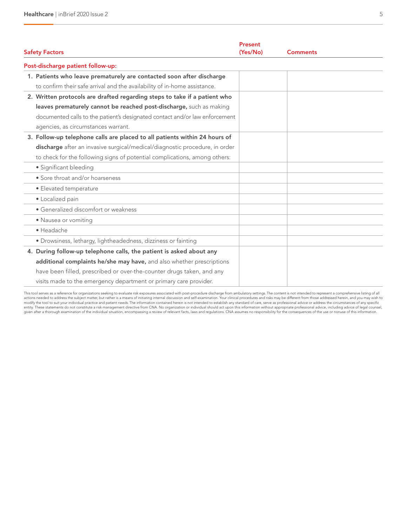| Present<br><b>Safety Factors</b><br>(Yes/No)                                |  | <b>Comments</b> |  |
|-----------------------------------------------------------------------------|--|-----------------|--|
| Post-discharge patient follow-up:                                           |  |                 |  |
| 1. Patients who leave prematurely are contacted soon after discharge        |  |                 |  |
| to confirm their safe arrival and the availability of in-home assistance.   |  |                 |  |
| 2. Written protocols are drafted regarding steps to take if a patient who   |  |                 |  |
| leaves prematurely cannot be reached post-discharge, such as making         |  |                 |  |
| documented calls to the patient's designated contact and/or law enforcement |  |                 |  |
| agencies, as circumstances warrant.                                         |  |                 |  |
| 3. Follow-up telephone calls are placed to all patients within 24 hours of  |  |                 |  |
| discharge after an invasive surgical/medical/diagnostic procedure, in order |  |                 |  |
| to check for the following signs of potential complications, among others:  |  |                 |  |
| · Significant bleeding                                                      |  |                 |  |
| • Sore throat and/or hoarseness                                             |  |                 |  |
| · Elevated temperature                                                      |  |                 |  |
| · Localized pain                                                            |  |                 |  |
| • Generalized discomfort or weakness                                        |  |                 |  |
| • Nausea or vomiting                                                        |  |                 |  |
| · Headache                                                                  |  |                 |  |
| · Drowsiness, lethargy, lightheadedness, dizziness or fainting              |  |                 |  |
| 4. During follow-up telephone calls, the patient is asked about any         |  |                 |  |
| additional complaints he/she may have, and also whether prescriptions       |  |                 |  |
| have been filled, prescribed or over-the-counter drugs taken, and any       |  |                 |  |
| visits made to the emergency department or primary care provider.           |  |                 |  |

This tool serves as a reference for organizations seeking to evaluate risk exposures associated with post-procedure discharge from ambulatory settings. The content is not intended to represent a comprehensive listing of all actions needed to address the subject matter, but rather is a means of initiating internal discussion and self-examination. Your clinical procedures and risks may be different from those addressed herein, and you may wish given after a thorough examination of the individual situation, encompassing a review of relevant facts, laws and regulations. CNA assumes no responsibility for the consequences of the use or nonuse of this information.